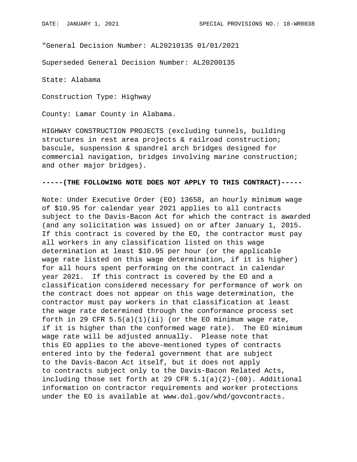"General Decision Number: AL20210135 01/01/2021

Superseded General Decision Number: AL20200135

State: Alabama

Construction Type: Highway

County: Lamar County in Alabama.

HIGHWAY CONSTRUCTION PROJECTS (excluding tunnels, building structures in rest area projects & railroad construction; bascule, suspension & spandrel arch bridges designed for commercial navigation, bridges involving marine construction; and other major bridges).

## **-----(THE FOLLOWING NOTE DOES NOT APPLY TO THIS CONTRACT)-----**

Note: Under Executive Order (EO) 13658, an hourly minimum wage of \$10.95 for calendar year 2021 applies to all contracts subject to the Davis-Bacon Act for which the contract is awarded (and any solicitation was issued) on or after January 1, 2015. If this contract is covered by the EO, the contractor must pay all workers in any classification listed on this wage determination at least \$10.95 per hour (or the applicable wage rate listed on this wage determination, if it is higher) for all hours spent performing on the contract in calendar year 2021. If this contract is covered by the EO and a classification considered necessary for performance of work on the contract does not appear on this wage determination, the contractor must pay workers in that classification at least the wage rate determined through the conformance process set forth in 29 CFR  $5.5(a)(1)(ii)$  (or the EO minimum wage rate, if it is higher than the conformed wage rate). The EO minimum wage rate will be adjusted annually. Please note that this EO applies to the above-mentioned types of contracts entered into by the federal government that are subject to the Davis-Bacon Act itself, but it does not apply to contracts subject only to the Davis-Bacon Related Acts, including those set forth at 29 CFR  $5.1(a)(2)-(60)$ . Additional information on contractor requirements and worker protections under the EO is available at www.dol.gov/whd/govcontracts.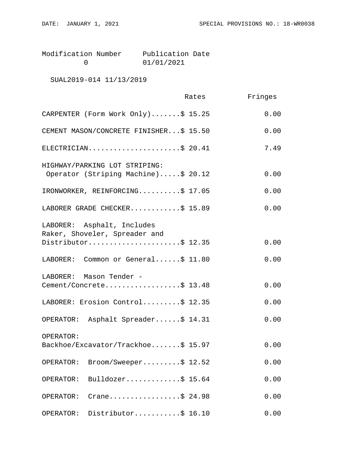| Modification Number | Publication Date |  |
|---------------------|------------------|--|
|                     | 01/01/2021       |  |

SUAL2019-014 11/13/2019

|                                                                      | Rates | Fringes |
|----------------------------------------------------------------------|-------|---------|
| CARPENTER (Form Work Only)\$ 15.25                                   |       | 0.00    |
| CEMENT MASON/CONCRETE FINISHER\$ 15.50                               |       | 0.00    |
| ELECTRICIAN\$ 20.41                                                  |       | 7.49    |
| HIGHWAY/PARKING LOT STRIPING:<br>Operator (Striping Machine)\$ 20.12 |       | 0.00    |
| IRONWORKER, REINFORCING\$ 17.05                                      |       | 0.00    |
| LABORER GRADE CHECKER\$ 15.89                                        |       | 0.00    |
| LABORER: Asphalt, Includes<br>Raker, Shoveler, Spreader and          |       |         |
| Distributor\$ 12.35                                                  |       | 0.00    |
| LABORER: Common or General\$ 11.80                                   |       | 0.00    |
| LABORER: Mason Tender -<br>Cement/Concrete\$ 13.48                   |       | 0.00    |
| LABORER: Erosion Control\$ 12.35                                     |       | 0.00    |
| OPERATOR: Asphalt Spreader\$ 14.31                                   |       | 0.00    |
| OPERATOR:<br>Backhoe/Excavator/Trackhoe\$ 15.97                      |       | 0.00    |
| Broom/Sweeper\$ 12.52<br>OPERATOR:                                   |       | 0.00    |
| Bulldozer\$ 15.64<br>OPERATOR:                                       |       | 0.00    |
| Crane\$ 24.98<br>OPERATOR:                                           |       | 0.00    |
| Distributor\$ 16.10<br>OPERATOR:                                     |       | 0.00    |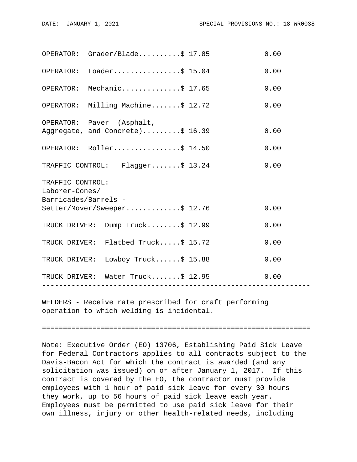| OPERATOR: Grader/Blade                                                                     |                  |  | 0.00 |  |  |
|--------------------------------------------------------------------------------------------|------------------|--|------|--|--|
| OPERATOR: Loader\$ 15.04                                                                   |                  |  | 0.00 |  |  |
| OPERATOR: Mechanic\$ 17.65                                                                 |                  |  | 0.00 |  |  |
| OPERATOR: Milling Machine\$ 12.72                                                          |                  |  | 0.00 |  |  |
| OPERATOR: Paver (Asphalt,<br>Aggregate, and Concrete)\$ 16.39                              |                  |  | 0.00 |  |  |
| OPERATOR: Roller\$ 14.50                                                                   |                  |  | 0.00 |  |  |
| TRAFFIC CONTROL: Flagger\$ 13.24                                                           |                  |  | 0.00 |  |  |
| TRAFFIC CONTROL:<br>Laborer-Cones/<br>Barricades/Barrels -<br>Setter/Mover/Sweeper\$ 12.76 |                  |  |      |  |  |
|                                                                                            |                  |  | 0.00 |  |  |
| TRUCK DRIVER: Dump Truck\$ 12.99                                                           |                  |  | 0.00 |  |  |
| TRUCK DRIVER: Flatbed Truck\$ 15.72                                                        |                  |  | 0.00 |  |  |
| TRUCK DRIVER: Lowboy Truck\$ 15.88                                                         |                  |  | 0.00 |  |  |
| TRUCK DRIVER: Water Truck\$ 12.95                                                          | ---------------- |  | 0.00 |  |  |
|                                                                                            |                  |  |      |  |  |

WELDERS - Receive rate prescribed for craft performing operation to which welding is incidental.

================================================================

Note: Executive Order (EO) 13706, Establishing Paid Sick Leave for Federal Contractors applies to all contracts subject to the Davis-Bacon Act for which the contract is awarded (and any solicitation was issued) on or after January 1, 2017. If this contract is covered by the EO, the contractor must provide employees with 1 hour of paid sick leave for every 30 hours they work, up to 56 hours of paid sick leave each year. Employees must be permitted to use paid sick leave for their own illness, injury or other health-related needs, including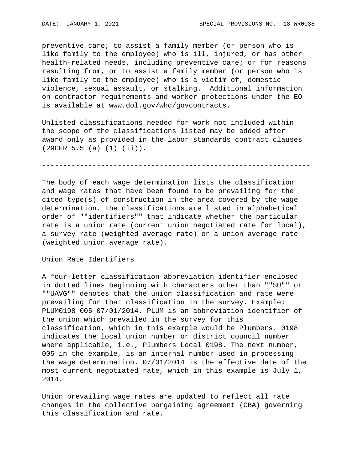preventive care; to assist a family member (or person who is like family to the employee) who is ill, injured, or has other health-related needs, including preventive care; or for reasons resulting from, or to assist a family member (or person who is like family to the employee) who is a victim of, domestic violence, sexual assault, or stalking. Additional information on contractor requirements and worker protections under the EO is available at www.dol.gov/whd/govcontracts.

Unlisted classifications needed for work not included within the scope of the classifications listed may be added after award only as provided in the labor standards contract clauses (29CFR 5.5 (a) (1) (ii)).

----------------------------------------------------------------

The body of each wage determination lists the classification and wage rates that have been found to be prevailing for the cited type(s) of construction in the area covered by the wage determination. The classifications are listed in alphabetical order of ""identifiers"" that indicate whether the particular rate is a union rate (current union negotiated rate for local), a survey rate (weighted average rate) or a union average rate (weighted union average rate).

Union Rate Identifiers

A four-letter classification abbreviation identifier enclosed in dotted lines beginning with characters other than ""SU"" or ""UAVG"" denotes that the union classification and rate were prevailing for that classification in the survey. Example: PLUM0198-005 07/01/2014. PLUM is an abbreviation identifier of the union which prevailed in the survey for this classification, which in this example would be Plumbers. 0198 indicates the local union number or district council number where applicable, i.e., Plumbers Local 0198. The next number, 005 in the example, is an internal number used in processing the wage determination. 07/01/2014 is the effective date of the most current negotiated rate, which in this example is July 1, 2014.

Union prevailing wage rates are updated to reflect all rate changes in the collective bargaining agreement (CBA) governing this classification and rate.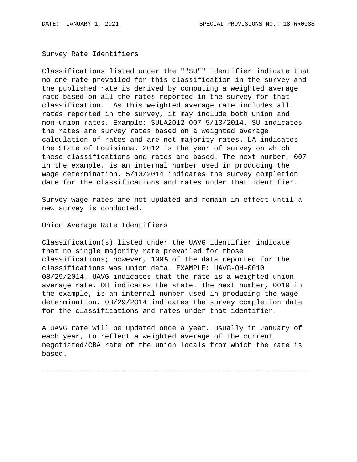Survey Rate Identifiers

Classifications listed under the ""SU"" identifier indicate that no one rate prevailed for this classification in the survey and the published rate is derived by computing a weighted average rate based on all the rates reported in the survey for that classification. As this weighted average rate includes all rates reported in the survey, it may include both union and non-union rates. Example: SULA2012-007 5/13/2014. SU indicates the rates are survey rates based on a weighted average calculation of rates and are not majority rates. LA indicates the State of Louisiana. 2012 is the year of survey on which these classifications and rates are based. The next number, 007 in the example, is an internal number used in producing the wage determination. 5/13/2014 indicates the survey completion date for the classifications and rates under that identifier.

Survey wage rates are not updated and remain in effect until a new survey is conducted.

Union Average Rate Identifiers

Classification(s) listed under the UAVG identifier indicate that no single majority rate prevailed for those classifications; however, 100% of the data reported for the classifications was union data. EXAMPLE: UAVG-OH-0010 08/29/2014. UAVG indicates that the rate is a weighted union average rate. OH indicates the state. The next number, 0010 in the example, is an internal number used in producing the wage determination. 08/29/2014 indicates the survey completion date for the classifications and rates under that identifier.

A UAVG rate will be updated once a year, usually in January of each year, to reflect a weighted average of the current negotiated/CBA rate of the union locals from which the rate is based.

----------------------------------------------------------------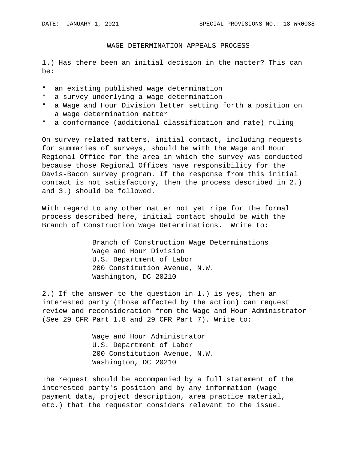## WAGE DETERMINATION APPEALS PROCESS

1.) Has there been an initial decision in the matter? This can be:

- \* an existing published wage determination
- \* a survey underlying a wage determination
- \* a Wage and Hour Division letter setting forth a position on a wage determination matter
- \* a conformance (additional classification and rate) ruling

On survey related matters, initial contact, including requests for summaries of surveys, should be with the Wage and Hour Regional Office for the area in which the survey was conducted because those Regional Offices have responsibility for the Davis-Bacon survey program. If the response from this initial contact is not satisfactory, then the process described in 2.) and 3.) should be followed.

With regard to any other matter not yet ripe for the formal process described here, initial contact should be with the Branch of Construction Wage Determinations. Write to:

> Branch of Construction Wage Determinations Wage and Hour Division U.S. Department of Labor 200 Constitution Avenue, N.W. Washington, DC 20210

2.) If the answer to the question in 1.) is yes, then an interested party (those affected by the action) can request review and reconsideration from the Wage and Hour Administrator (See 29 CFR Part 1.8 and 29 CFR Part 7). Write to:

> Wage and Hour Administrator U.S. Department of Labor 200 Constitution Avenue, N.W. Washington, DC 20210

The request should be accompanied by a full statement of the interested party's position and by any information (wage payment data, project description, area practice material, etc.) that the requestor considers relevant to the issue.